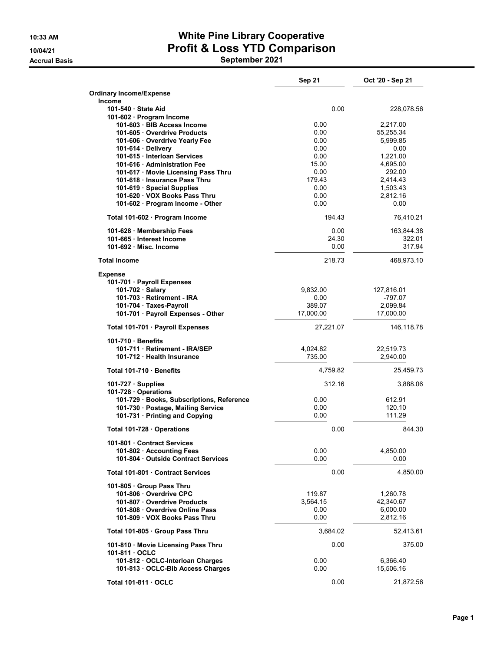## 10:33 AM White Pine Library Cooperative 10/04/21 Profit & Loss YTD Comparison Accrual Basis **September 2021**

|                                                                   | Sep 21             | Oct '20 - Sep 21      |
|-------------------------------------------------------------------|--------------------|-----------------------|
| <b>Ordinary Income/Expense</b>                                    |                    |                       |
| Income                                                            |                    |                       |
| 101-540 State Aid<br>101-602 · Program Income                     | 0.00               | 228,078.56            |
| 101-603 · BIB Access Income                                       | 0.00               | 2,217.00              |
| 101-605 · Overdrive Products                                      | 0.00               | 55,255.34             |
| 101-606 Overdrive Yearly Fee                                      | 0.00               | 5,999.85              |
| 101-614 · Delivery<br>101-615 · Interloan Services                | 0.00<br>0.00       | 0.00<br>1.221.00      |
| 101-616 Administration Fee                                        | 15.00              | 4,695.00              |
| 101-617 · Movie Licensing Pass Thru                               | 0.00               | 292.00                |
| 101-618 Insurance Pass Thru                                       | 179.43             | 2,414.43              |
| 101-619 · Special Supplies                                        | 0.00               | 1,503.43              |
| 101-620 · VOX Books Pass Thru<br>101-602 · Program Income - Other | 0.00<br>0.00       | 2,812.16<br>0.00      |
| Total 101-602 · Program Income                                    | 194.43             | 76,410.21             |
| 101-628 · Membership Fees                                         | 0.00               | 163,844.38            |
| 101-665 Interest Income                                           | 24.30              | 322.01                |
| 101-692 Misc. Income                                              | 0.00               | 317.94                |
| <b>Total Income</b>                                               | 218.73             | 468,973.10            |
| <b>Expense</b>                                                    |                    |                       |
| 101-701 · Payroll Expenses<br>101-702 · Salary                    | 9,832.00           | 127,816.01            |
| 101-703 Retirement - IRA                                          | 0.00               | -797.07               |
| 101-704 · Taxes-Payroll                                           | 389.07             | 2,099.84              |
| 101-701 · Payroll Expenses - Other                                | 17,000.00          | 17,000.00             |
| Total 101-701 · Payroll Expenses                                  | 27,221.07          | 146,118.78            |
| 101-710 Benefits                                                  |                    |                       |
| 101-711 · Retirement - IRA/SEP<br>101-712 Health Insurance        | 4,024.82<br>735.00 | 22,519.73<br>2,940.00 |
|                                                                   |                    |                       |
| Total 101-710 Benefits                                            | 4,759.82           | 25,459.73             |
| $101-727 \cdot$ Supplies<br>101-728 · Operations                  | 312.16             | 3,888.06              |
| 101-729 · Books, Subscriptions, Reference                         | 0.00               | 612.91                |
| 101-730 · Postage, Mailing Service                                | 0.00               | 120.10                |
| 101-731 · Printing and Copying                                    | 0.00               | 111.29                |
| Total 101-728 · Operations                                        | 0.00               | 844.30                |
| 101-801 · Contract Services                                       |                    |                       |
| 101-802 Accounting Fees                                           | 0.00               | 4,850.00              |
| 101-804 Outside Contract Services                                 | 0.00               | 0.00                  |
| Total 101-801 Contract Services                                   | 0.00               | 4,850.00              |
| 101-805 · Group Pass Thru                                         |                    |                       |
| 101-806 Overdrive CPC<br>101-807 Overdrive Products               | 119.87<br>3,564.15 | 1,260.78<br>42,340.67 |
| 101-808 Overdrive Online Pass                                     | 0.00               | 6,000.00              |
| 101-809 VOX Books Pass Thru                                       | 0.00               | 2,812.16              |
| Total 101-805 · Group Pass Thru                                   | 3,684.02           | 52,413.61             |
| 101-810 Movie Licensing Pass Thru<br>101-811 OCLC                 | 0.00               | 375.00                |
| 101-812 · OCLC-Interloan Charges                                  | 0.00               | 6,366.40              |
| 101-813 OCLC-Bib Access Charges                                   | 0.00               | 15,506.16             |
| Total 101-811 · OCLC                                              | 0.00               | 21,872.56             |